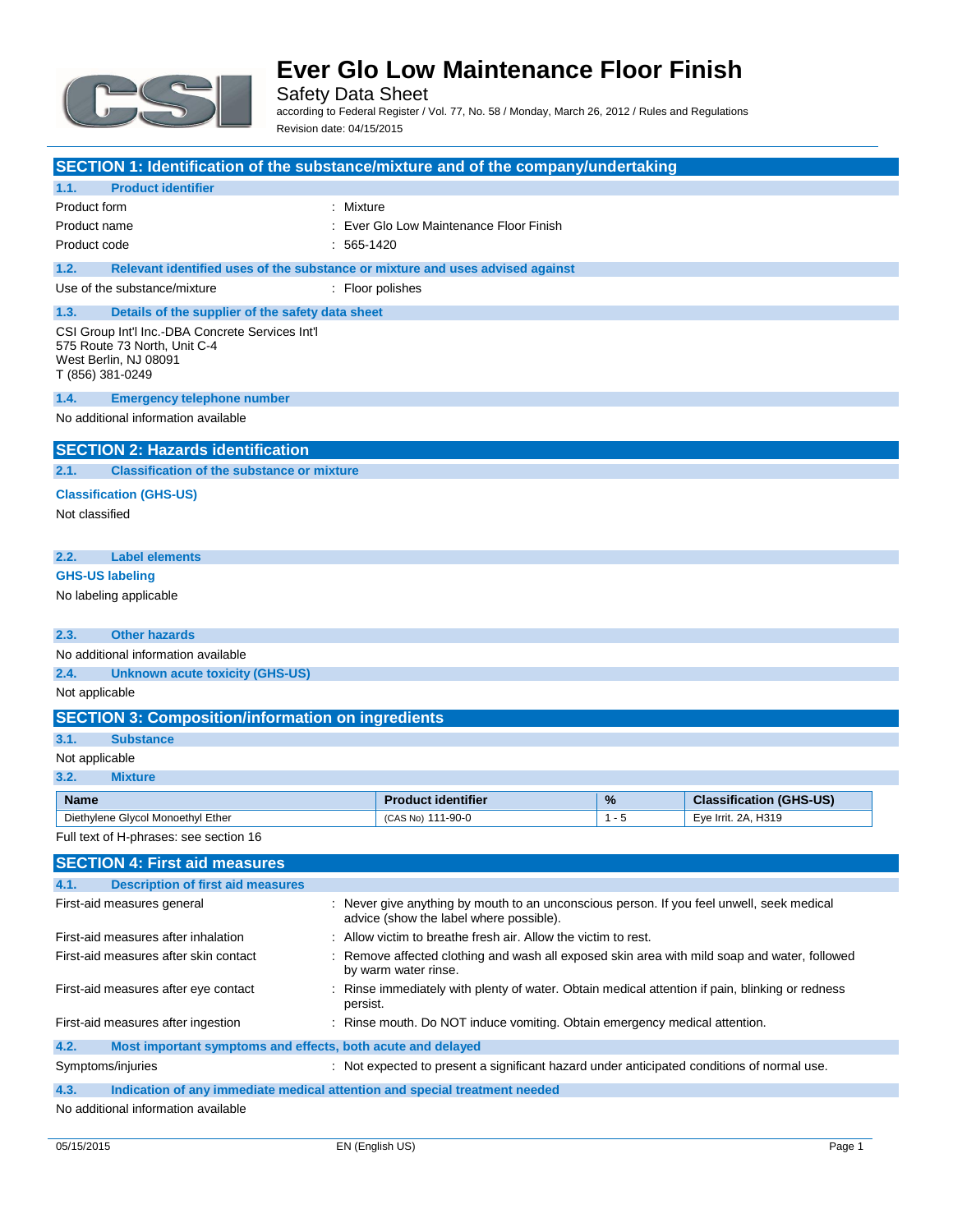

Safety Data Sheet according to Federal Register / Vol. 77, No. 58 / Monday, March 26, 2012 / Rules and Regulations Revision date: 04/15/2015

| SECTION 1: Identification of the substance/mixture and of the company/undertaking     |              |                                                                                                                                      |         |                                |
|---------------------------------------------------------------------------------------|--------------|--------------------------------------------------------------------------------------------------------------------------------------|---------|--------------------------------|
| <b>Product identifier</b><br>1.1.                                                     |              |                                                                                                                                      |         |                                |
| Product form                                                                          | : Mixture    |                                                                                                                                      |         |                                |
| Product name                                                                          |              | : Ever Glo Low Maintenance Floor Finish                                                                                              |         |                                |
| Product code                                                                          | $: 565-1420$ |                                                                                                                                      |         |                                |
| Relevant identified uses of the substance or mixture and uses advised against<br>1.2. |              |                                                                                                                                      |         |                                |
| Use of the substance/mixture                                                          |              | : Floor polishes                                                                                                                     |         |                                |
| 1.3.<br>Details of the supplier of the safety data sheet                              |              |                                                                                                                                      |         |                                |
| CSI Group Int'l Inc.-DBA Concrete Services Int'l<br>575 Route 73 North, Unit C-4      |              |                                                                                                                                      |         |                                |
| West Berlin, NJ 08091<br>T (856) 381-0249                                             |              |                                                                                                                                      |         |                                |
| 1.4.<br><b>Emergency telephone number</b>                                             |              |                                                                                                                                      |         |                                |
| No additional information available                                                   |              |                                                                                                                                      |         |                                |
| <b>SECTION 2: Hazards identification</b>                                              |              |                                                                                                                                      |         |                                |
| <b>Classification of the substance or mixture</b><br>2.1.                             |              |                                                                                                                                      |         |                                |
| <b>Classification (GHS-US)</b>                                                        |              |                                                                                                                                      |         |                                |
| Not classified                                                                        |              |                                                                                                                                      |         |                                |
|                                                                                       |              |                                                                                                                                      |         |                                |
| 2.2.<br><b>Label elements</b>                                                         |              |                                                                                                                                      |         |                                |
| <b>GHS-US labeling</b>                                                                |              |                                                                                                                                      |         |                                |
| No labeling applicable                                                                |              |                                                                                                                                      |         |                                |
|                                                                                       |              |                                                                                                                                      |         |                                |
| <b>Other hazards</b><br>2.3.                                                          |              |                                                                                                                                      |         |                                |
| No additional information available                                                   |              |                                                                                                                                      |         |                                |
| 2.4.<br><b>Unknown acute toxicity (GHS-US)</b>                                        |              |                                                                                                                                      |         |                                |
| Not applicable                                                                        |              |                                                                                                                                      |         |                                |
| <b>SECTION 3: Composition/information on ingredients</b>                              |              |                                                                                                                                      |         |                                |
| 3.1.<br><b>Substance</b>                                                              |              |                                                                                                                                      |         |                                |
| Not applicable                                                                        |              |                                                                                                                                      |         |                                |
| 3.2.<br><b>Mixture</b>                                                                |              |                                                                                                                                      |         |                                |
| <b>Name</b>                                                                           |              | <b>Product identifier</b>                                                                                                            | %       | <b>Classification (GHS-US)</b> |
| Diethylene Glycol Monoethyl Ether                                                     |              | (CAS No) 111-90-0                                                                                                                    | $1 - 5$ | Eye Irrit. 2A, H319            |
| Full text of H-phrases: see section 16                                                |              |                                                                                                                                      |         |                                |
| <b>SECTION 4: First aid measures</b>                                                  |              |                                                                                                                                      |         |                                |
| 4.1.<br><b>Description of first aid measures</b>                                      |              |                                                                                                                                      |         |                                |
| First-aid measures general                                                            |              | : Never give anything by mouth to an unconscious person. If you feel unwell, seek medical<br>advice (show the label where possible). |         |                                |
| First-aid measures after inhalation                                                   |              | : Allow victim to breathe fresh air. Allow the victim to rest.                                                                       |         |                                |
| First-aid measures after skin contact                                                 |              | : Remove affected clothing and wash all exposed skin area with mild soap and water, followed<br>by warm water rinse.                 |         |                                |
| First-aid measures after eye contact                                                  | persist.     | : Rinse immediately with plenty of water. Obtain medical attention if pain, blinking or redness                                      |         |                                |
| First-aid measures after ingestion                                                    |              | : Rinse mouth. Do NOT induce vomiting. Obtain emergency medical attention.                                                           |         |                                |
| 4.2.<br>Most important symptoms and effects, both acute and delayed                   |              |                                                                                                                                      |         |                                |
| Symptoms/injuries                                                                     |              | : Not expected to present a significant hazard under anticipated conditions of normal use.                                           |         |                                |
| 4.3.<br>Indication of any immediate medical attention and special treatment needed    |              |                                                                                                                                      |         |                                |
| No additional information available                                                   |              |                                                                                                                                      |         |                                |

No additional information available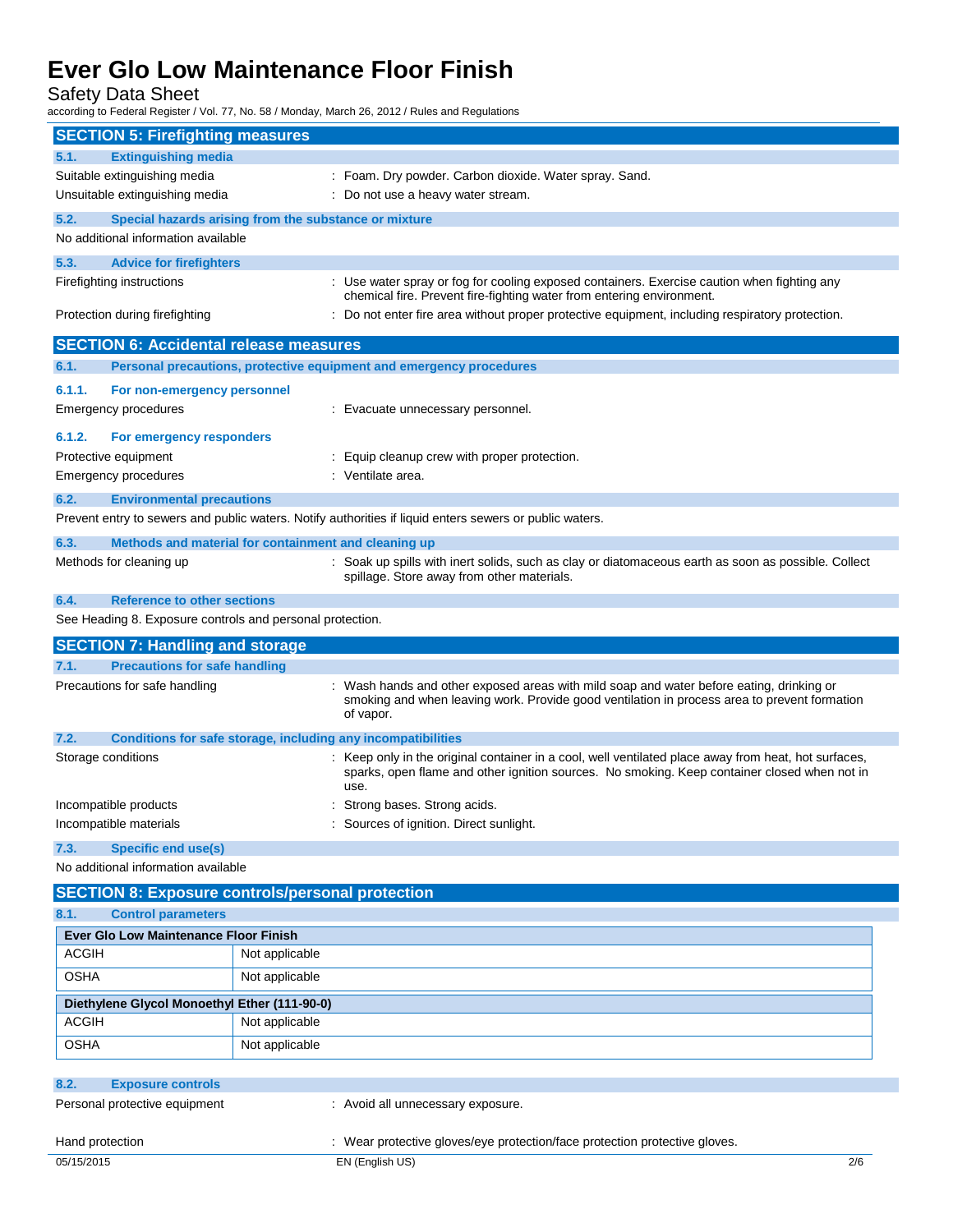Safety Data Sheet

according to Federal Register / Vol. 77, No. 58 / Monday, March 26, 2012 / Rules and Regulations

| <b>SECTION 5: Firefighting measures</b>                           |                                                                                                                                                                                                              |  |
|-------------------------------------------------------------------|--------------------------------------------------------------------------------------------------------------------------------------------------------------------------------------------------------------|--|
| <b>Extinguishing media</b><br>5.1.                                |                                                                                                                                                                                                              |  |
| Suitable extinguishing media                                      | : Foam. Dry powder. Carbon dioxide. Water spray. Sand.                                                                                                                                                       |  |
| Unsuitable extinguishing media                                    | : Do not use a heavy water stream.                                                                                                                                                                           |  |
| 5.2.                                                              | Special hazards arising from the substance or mixture                                                                                                                                                        |  |
| No additional information available                               |                                                                                                                                                                                                              |  |
| 5.3.<br><b>Advice for firefighters</b>                            |                                                                                                                                                                                                              |  |
| Firefighting instructions                                         | : Use water spray or fog for cooling exposed containers. Exercise caution when fighting any                                                                                                                  |  |
| Protection during firefighting                                    | chemical fire. Prevent fire-fighting water from entering environment.<br>: Do not enter fire area without proper protective equipment, including respiratory protection.                                     |  |
| <b>SECTION 6: Accidental release measures</b>                     |                                                                                                                                                                                                              |  |
| 6.1.                                                              | Personal precautions, protective equipment and emergency procedures                                                                                                                                          |  |
| 6.1.1.<br>For non-emergency personnel                             |                                                                                                                                                                                                              |  |
| <b>Emergency procedures</b>                                       | : Evacuate unnecessary personnel.                                                                                                                                                                            |  |
|                                                                   |                                                                                                                                                                                                              |  |
| 6.1.2.<br>For emergency responders                                |                                                                                                                                                                                                              |  |
| Protective equipment                                              | : Equip cleanup crew with proper protection.<br>: Ventilate area.                                                                                                                                            |  |
| <b>Emergency procedures</b>                                       |                                                                                                                                                                                                              |  |
| 6.2.<br><b>Environmental precautions</b>                          |                                                                                                                                                                                                              |  |
|                                                                   | Prevent entry to sewers and public waters. Notify authorities if liquid enters sewers or public waters.                                                                                                      |  |
| 6.3.                                                              | Methods and material for containment and cleaning up                                                                                                                                                         |  |
| Methods for cleaning up                                           | : Soak up spills with inert solids, such as clay or diatomaceous earth as soon as possible. Collect<br>spillage. Store away from other materials.                                                            |  |
| 6.4.<br><b>Reference to other sections</b>                        |                                                                                                                                                                                                              |  |
| See Heading 8. Exposure controls and personal protection.         |                                                                                                                                                                                                              |  |
|                                                                   |                                                                                                                                                                                                              |  |
| <b>SECTION 7: Handling and storage</b>                            |                                                                                                                                                                                                              |  |
| 7.1.<br><b>Precautions for safe handling</b>                      |                                                                                                                                                                                                              |  |
| Precautions for safe handling                                     | : Wash hands and other exposed areas with mild soap and water before eating, drinking or<br>smoking and when leaving work. Provide good ventilation in process area to prevent formation<br>of vapor.        |  |
| 7.2.                                                              | Conditions for safe storage, including any incompatibilities                                                                                                                                                 |  |
| Storage conditions                                                | : Keep only in the original container in a cool, well ventilated place away from heat, hot surfaces,<br>sparks, open flame and other ignition sources. No smoking. Keep container closed when not in<br>use. |  |
| Incompatible products                                             | : Strong bases. Strong acids.                                                                                                                                                                                |  |
| Incompatible materials                                            | Sources of ignition. Direct sunlight.                                                                                                                                                                        |  |
| 7.3.                                                              |                                                                                                                                                                                                              |  |
| <b>Specific end use(s)</b><br>No additional information available |                                                                                                                                                                                                              |  |
|                                                                   |                                                                                                                                                                                                              |  |
|                                                                   | <b>SECTION 8: Exposure controls/personal protection</b>                                                                                                                                                      |  |
| 8.1.<br><b>Control parameters</b>                                 |                                                                                                                                                                                                              |  |
| Ever Glo Low Maintenance Floor Finish                             |                                                                                                                                                                                                              |  |
| <b>ACGIH</b>                                                      | Not applicable                                                                                                                                                                                               |  |
| <b>OSHA</b>                                                       | Not applicable                                                                                                                                                                                               |  |
| Diethylene Glycol Monoethyl Ether (111-90-0)                      |                                                                                                                                                                                                              |  |
| <b>ACGIH</b>                                                      | Not applicable                                                                                                                                                                                               |  |
| <b>OSHA</b>                                                       | Not applicable                                                                                                                                                                                               |  |
|                                                                   |                                                                                                                                                                                                              |  |
| 8.2.<br><b>Exposure controls</b>                                  |                                                                                                                                                                                                              |  |
| Personal protective equipment                                     | : Avoid all unnecessary exposure.                                                                                                                                                                            |  |
| Hand protection                                                   | : Wear protective gloves/eye protection/face protection protective gloves.                                                                                                                                   |  |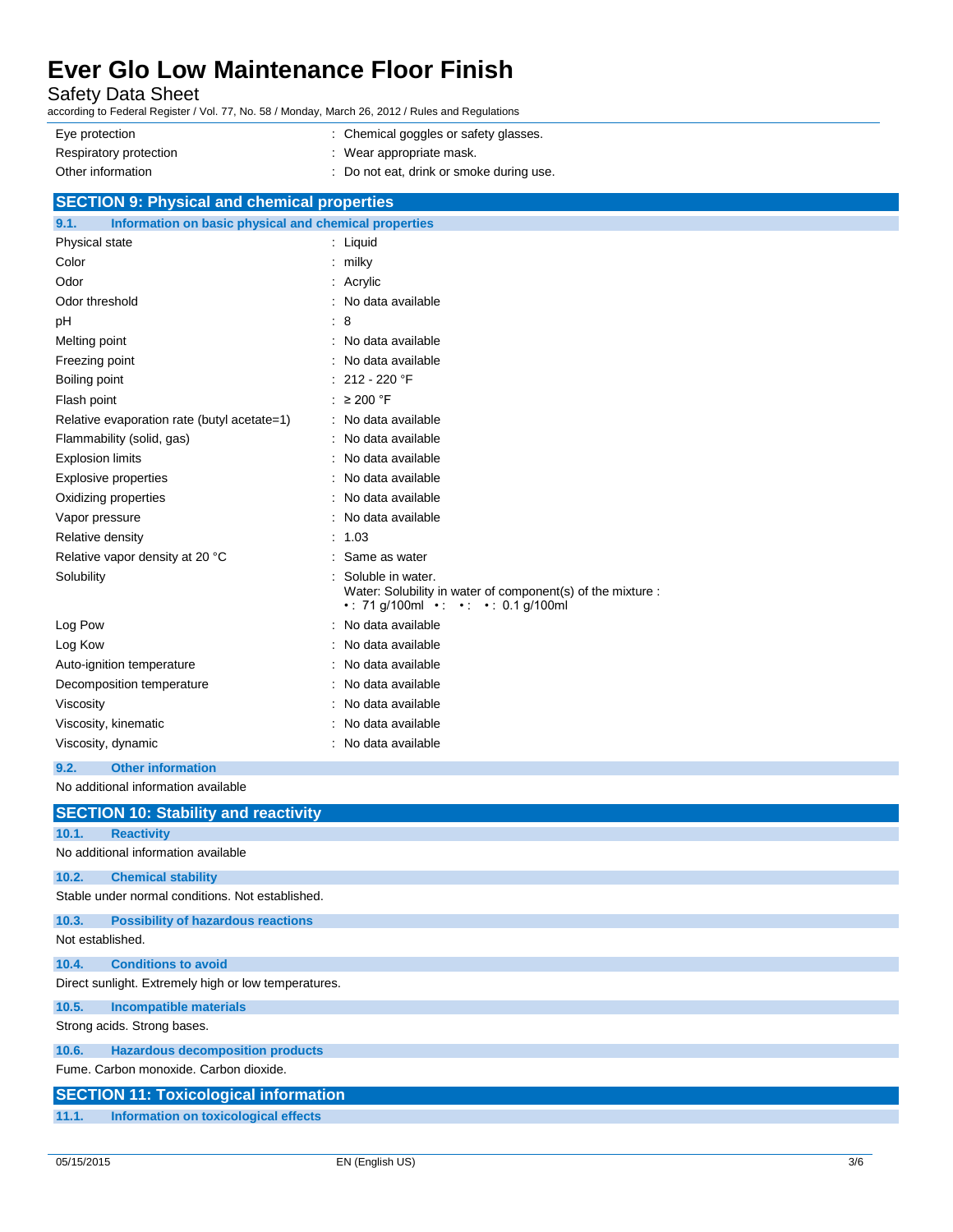Safety Data Sheet

according to Federal Register / Vol. 77, No. 58 / Monday, March 26, 2012 / Rules and Regulations

| Eye protection         | : Chemical goggles or safety glasses.    |
|------------------------|------------------------------------------|
| Respiratory protection | : Wear appropriate mask.                 |
| Other information      | : Do not eat, drink or smoke during use. |

| <b>SECTION 9: Physical and chemical properties</b>            |                                                                                                                        |
|---------------------------------------------------------------|------------------------------------------------------------------------------------------------------------------------|
| Information on basic physical and chemical properties<br>9.1. |                                                                                                                        |
| Physical state                                                | Liquid<br>÷                                                                                                            |
| Color                                                         | milky                                                                                                                  |
| Odor                                                          | Acrylic                                                                                                                |
| Odor threshold                                                | No data available                                                                                                      |
| pH                                                            | 8                                                                                                                      |
| Melting point                                                 | No data available<br>$\blacksquare$                                                                                    |
| Freezing point                                                | No data available                                                                                                      |
| Boiling point                                                 | 212 - 220 °F                                                                                                           |
| Flash point                                                   | $\geq$ 200 °F                                                                                                          |
| Relative evaporation rate (butyl acetate=1)                   | No data available                                                                                                      |
| Flammability (solid, gas)                                     | No data available                                                                                                      |
| <b>Explosion limits</b>                                       | No data available                                                                                                      |
| <b>Explosive properties</b>                                   | No data available                                                                                                      |
| Oxidizing properties                                          | No data available                                                                                                      |
| Vapor pressure                                                | No data available                                                                                                      |
| Relative density                                              | 1.03                                                                                                                   |
| Relative vapor density at 20 °C                               | Same as water                                                                                                          |
| Solubility                                                    | Soluble in water.<br>Water: Solubility in water of component(s) of the mixture :<br>• : 71 g/100ml • • • • 0.1 g/100ml |
| Log Pow                                                       | No data available                                                                                                      |
| Log Kow                                                       | No data available                                                                                                      |
| Auto-ignition temperature                                     | No data available                                                                                                      |
| Decomposition temperature                                     | No data available                                                                                                      |
| Viscosity                                                     | No data available                                                                                                      |
| Viscosity, kinematic                                          | No data available                                                                                                      |
| Viscosity, dynamic                                            | No data available                                                                                                      |
| 9.2.<br><b>Other information</b>                              |                                                                                                                        |

No additional information available

|                  | <b>SECTION 10: Stability and reactivity</b>          |
|------------------|------------------------------------------------------|
| 10.1.            | <b>Reactivity</b>                                    |
|                  | No additional information available                  |
| 10.2.            | <b>Chemical stability</b>                            |
|                  | Stable under normal conditions. Not established.     |
| 10.3.            | <b>Possibility of hazardous reactions</b>            |
| Not established. |                                                      |
| 10.4.            | <b>Conditions to avoid</b>                           |
|                  | Direct sunlight. Extremely high or low temperatures. |
| 10.5.            | <b>Incompatible materials</b>                        |
|                  | Strong acids. Strong bases.                          |
| 10.6.            | <b>Hazardous decomposition products</b>              |
|                  | Fume, Carbon monoxide, Carbon dioxide,               |
|                  | <b>SECTION 11: Toxicological information</b>         |
| 11.1.            | Information on toxicological effects                 |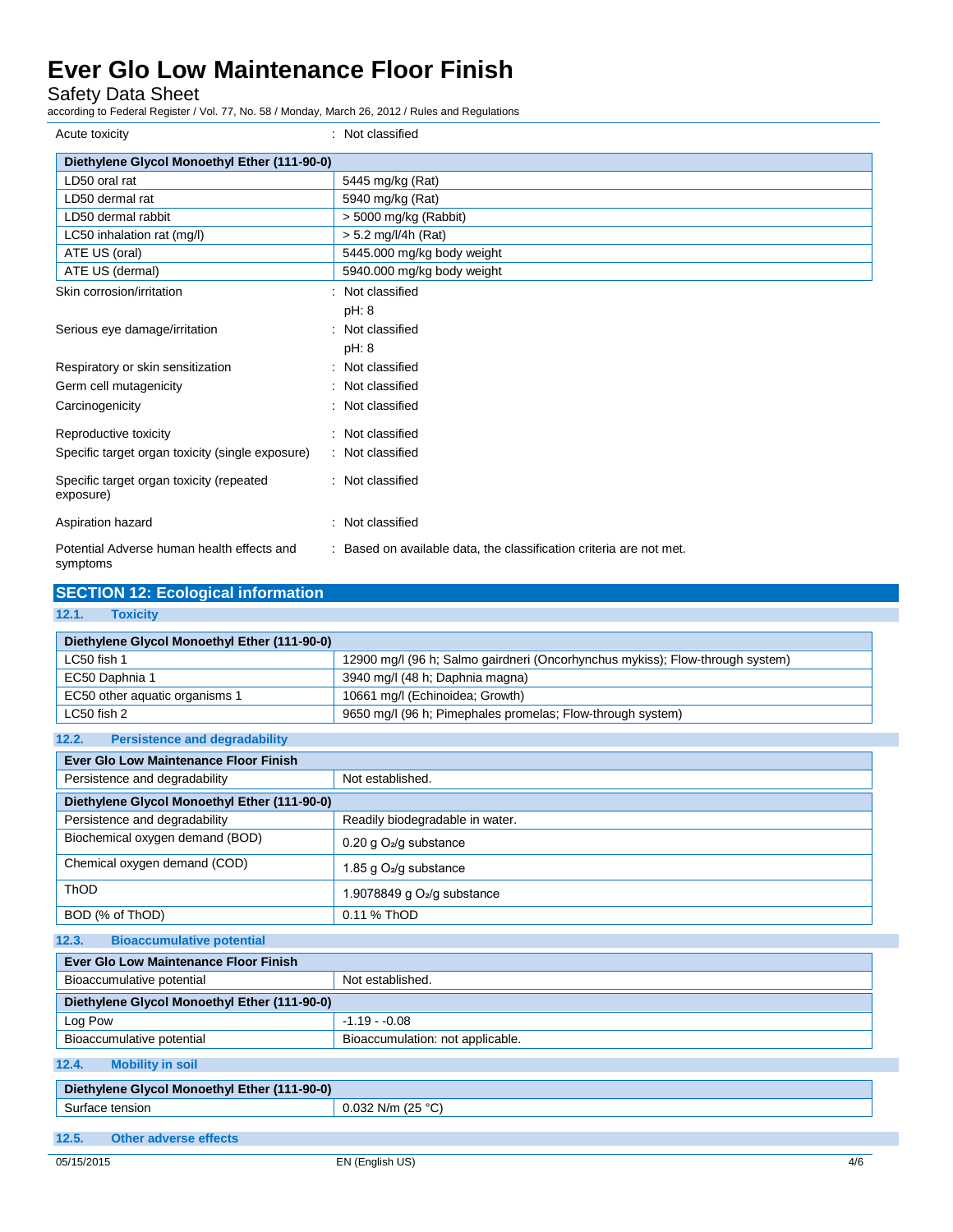Safety Data Sheet

according to Federal Register / Vol. 77, No. 58 / Monday, March 26, 2012 / Rules and Regulations

| Acute toxicity                                         | Not classified                                                      |
|--------------------------------------------------------|---------------------------------------------------------------------|
| Diethylene Glycol Monoethyl Ether (111-90-0)           |                                                                     |
| LD50 oral rat                                          | 5445 mg/kg (Rat)                                                    |
| LD50 dermal rat                                        | 5940 mg/kg (Rat)                                                    |
| LD50 dermal rabbit                                     | $> 5000$ mg/kg (Rabbit)                                             |
| LC50 inhalation rat (mg/l)                             | $> 5.2$ mg/l/4h (Rat)                                               |
| ATE US (oral)                                          | 5445.000 mg/kg body weight                                          |
| ATE US (dermal)                                        | 5940.000 mg/kg body weight                                          |
| Skin corrosion/irritation                              | Not classified                                                      |
|                                                        | pH: 8                                                               |
| Serious eye damage/irritation                          | Not classified                                                      |
|                                                        | pH: 8                                                               |
| Respiratory or skin sensitization                      | Not classified                                                      |
| Germ cell mutagenicity                                 | Not classified                                                      |
| Carcinogenicity                                        | Not classified                                                      |
| Reproductive toxicity                                  | : Not classified                                                    |
| Specific target organ toxicity (single exposure)       | : Not classified                                                    |
| Specific target organ toxicity (repeated<br>exposure)  | : Not classified                                                    |
| Aspiration hazard                                      | Not classified                                                      |
| Potential Adverse human health effects and<br>symptoms | : Based on available data, the classification criteria are not met. |

### **SECTION 12: Ecological information 12.1. Toxicity Diethylene Glycol Monoethyl Ether (111-90-0)** LC50 fish 1 12900 mg/l (96 h; Salmo gairdneri (Oncorhynchus mykiss); Flow-through system) EC50 Daphnia 1 3940 mg/l (48 h; Daphnia magna) EC50 other aquatic organisms 1 10661 mg/l (Echinoidea; Growth) LC50 fish 2 end of the state of the state of 9650 mg/l (96 h; Pimephales promelas; Flow-through system) **12.2. Persistence and degradability Ever Glo Low Maintenance Floor Finish**  Persistence and degradability Not established. **Diethylene Glycol Monoethyl Ether (111-90-0)** Persistence and degradability **Readily biodegradable in water.** Biochemical oxygen demand (BOD) 0.20 g O2/g substance Chemical oxygen demand (COD) 1.85 g O2/g substance ThOD 1.9078849 g O2/g substance BOD (% of ThOD) 0.11 % ThOD **12.3. Bioaccumulative potential Ever Glo Low Maintenance Floor Finish** Bioaccumulative potential Not established. **Diethylene Glycol Monoethyl Ether (111-90-0)** Log Pow 2012 -1.19 - 0.08 Bioaccumulative potential Bioaccumulation: not applicable. **12.4. Mobility in soil Diethylene Glycol Monoethyl Ether (111-90-0)** Surface tension 0.032 N/m (25 °C)

**12.5. Other adverse effects**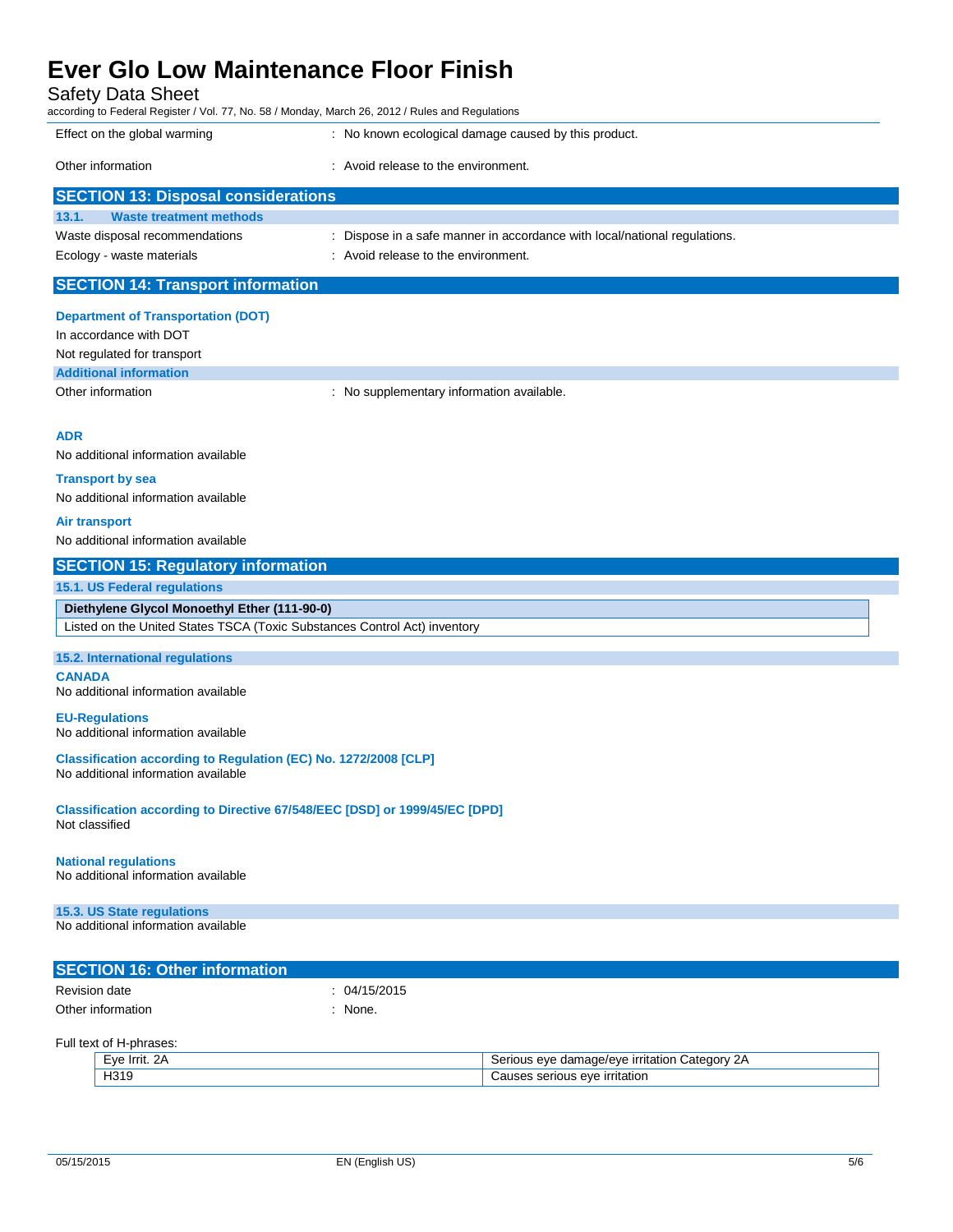Safety Data Sheet

according to Federal Register / Vol. 77, No. 58 / Monday, March 26, 2012 / Rules and Regulations

| according to Federal Hegister / Vol. 77, NO. 907 Monday, March 20, 2012 / Nules and Negulations |                                                                           |
|-------------------------------------------------------------------------------------------------|---------------------------------------------------------------------------|
| Effect on the global warming                                                                    | : No known ecological damage caused by this product.                      |
| Other information                                                                               | : Avoid release to the environment.                                       |
| <b>SECTION 13: Disposal considerations</b>                                                      |                                                                           |
| <b>Waste treatment methods</b><br>13.1.                                                         |                                                                           |
| Waste disposal recommendations                                                                  | : Dispose in a safe manner in accordance with local/national regulations. |
| Ecology - waste materials                                                                       | : Avoid release to the environment.                                       |
| <b>SECTION 14: Transport information</b>                                                        |                                                                           |
|                                                                                                 |                                                                           |
| <b>Department of Transportation (DOT)</b>                                                       |                                                                           |
|                                                                                                 |                                                                           |

In accordance with DOT Not regulated for transport

**Additional information**

Other information **contains the contact of the contact of the contact of the contact of the contact of the contact of the contact of the contact of the contact of the contact of the contact of the contact of the contact of** 

#### **ADR**

No additional information available

#### **Transport by sea**

No additional information available

### **Air transport**

No additional information available

### **SECTION 15: Regulatory information**

### **15.1. US Federal regulations**

**Diethylene Glycol Monoethyl Ether (111-90-0)** Listed on the United States TSCA (Toxic Substances Control Act) inventory

#### **15.2. International regulations**

**CANADA** No additional information available

#### **EU-Regulations**

No additional information available

**Classification according to Regulation (EC) No. 1272/2008 [CLP]** No additional information available

**Classification according to Directive 67/548/EEC [DSD] or 1999/45/EC [DPD]** Not classified

### **National regulations**

No additional information available

#### **15.3. US State regulations**

No additional information available

| <b>SECTION 16: Other information</b> |              |
|--------------------------------------|--------------|
| Revision date                        | : 04/15/2015 |
| Other information                    | None.        |

Full text of H-phrases:

| =∨e<br>-         | ateaor<br>$\sim$<br>eve<br>$\mathsf{A}$ $\mathsf{A}$<br>Эτι<br>ъ.<br>בנונוו<br>- LF<br>.<br>. . |
|------------------|-------------------------------------------------------------------------------------------------|
| H319<br>. .<br>_ | rritation)<br>$\bigcirc$<br>serious<br>$-1$                                                     |